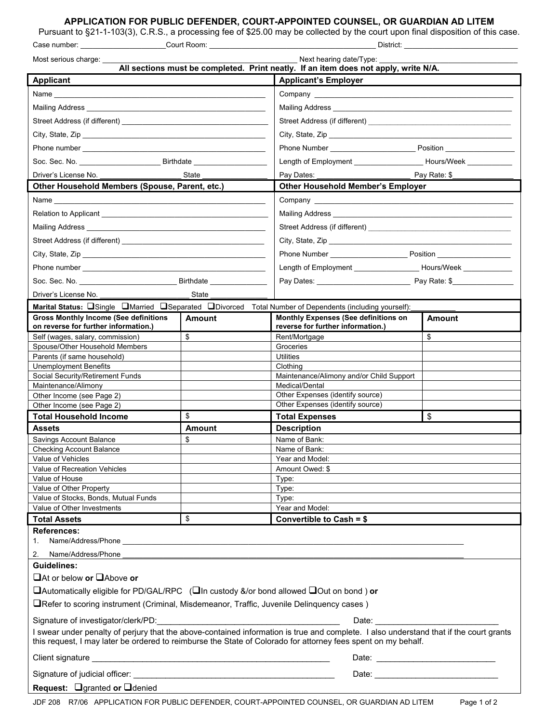### **APPLICATION FOR PUBLIC DEFENDER, COURT-APPOINTED COUNSEL, OR GUARDIAN AD LITEM**

Pursuant to §21-1-103(3), C.R.S., a processing fee of \$25.00 may be collected by the court upon final disposition of this case.

| Case number:                                                                                                                                                                                                                                                                                | _Court Room: __     | District:                                                                                                                                                                                                                      |              |
|---------------------------------------------------------------------------------------------------------------------------------------------------------------------------------------------------------------------------------------------------------------------------------------------|---------------------|--------------------------------------------------------------------------------------------------------------------------------------------------------------------------------------------------------------------------------|--------------|
| Next hearing date/Type:<br>Most serious charge: ___                                                                                                                                                                                                                                         |                     |                                                                                                                                                                                                                                |              |
|                                                                                                                                                                                                                                                                                             |                     | All sections must be completed. Print neatly. If an item does not apply, write N/A.                                                                                                                                            |              |
| <b>Applicant</b>                                                                                                                                                                                                                                                                            |                     | <b>Applicant's Employer</b>                                                                                                                                                                                                    |              |
|                                                                                                                                                                                                                                                                                             |                     |                                                                                                                                                                                                                                |              |
| Mailing Address National Address National Address National Address National Address National Address National Address                                                                                                                                                                       |                     | Mailing Address Management and Communications of the Mailing Address                                                                                                                                                           |              |
|                                                                                                                                                                                                                                                                                             |                     |                                                                                                                                                                                                                                |              |
|                                                                                                                                                                                                                                                                                             |                     |                                                                                                                                                                                                                                |              |
|                                                                                                                                                                                                                                                                                             |                     |                                                                                                                                                                                                                                |              |
|                                                                                                                                                                                                                                                                                             |                     | Length of Employment Hours/Week                                                                                                                                                                                                |              |
| Driver's License No.<br>State                                                                                                                                                                                                                                                               |                     | Pay Dates: The Contract of the Contract of the Contract of the Contract of the Contract of the Contract of the Contract of the Contract of the Contract of the Contract of the Contract of the Contract of the Contract of the | Pay Rate: \$ |
| Other Household Members (Spouse, Parent, etc.)                                                                                                                                                                                                                                              |                     | <b>Other Household Member's Employer</b>                                                                                                                                                                                       |              |
| Name ______________                                                                                                                                                                                                                                                                         |                     |                                                                                                                                                                                                                                |              |
| Relation to Applicant<br>experience of the state of the state of the state of the state of the state of the state of the state of the state of the state of the state of the state of the state of the state of the state of the                                                            |                     |                                                                                                                                                                                                                                |              |
|                                                                                                                                                                                                                                                                                             |                     |                                                                                                                                                                                                                                |              |
| Mailing Address <b>Mailing</b> Address <b>Mailing</b> Address <b>Mailing</b> Address <b>Mailing</b> Address <b>Mailing</b> Address <b>Mailing</b> Address <b>Mailing</b> Address <b>Mailing</b> Address <b>Mailing</b> Address <b>Mailing</b> Address <b>Mailing</b> Address <b>Mailing</b> |                     |                                                                                                                                                                                                                                |              |
|                                                                                                                                                                                                                                                                                             |                     |                                                                                                                                                                                                                                |              |
|                                                                                                                                                                                                                                                                                             |                     |                                                                                                                                                                                                                                |              |
|                                                                                                                                                                                                                                                                                             |                     | Length of Employment ________________________ Hours/Week ______________                                                                                                                                                        |              |
|                                                                                                                                                                                                                                                                                             |                     |                                                                                                                                                                                                                                |              |
| Driver's License No.                                                                                                                                                                                                                                                                        | State               |                                                                                                                                                                                                                                |              |
| Marital Status: Single Married Separated ODivorced Total Number of Dependents (including yourself):                                                                                                                                                                                         |                     |                                                                                                                                                                                                                                |              |
| <b>Gross Monthly Income (See definitions</b><br>on reverse for further information.)                                                                                                                                                                                                        | Amount              | <b>Monthly Expenses (See definitions on</b><br>reverse for further information.)                                                                                                                                               | Amount       |
| Self (wages, salary, commission)                                                                                                                                                                                                                                                            | \$                  | Rent/Mortgage                                                                                                                                                                                                                  | \$           |
| Spouse/Other Household Members                                                                                                                                                                                                                                                              |                     | Groceries                                                                                                                                                                                                                      |              |
| Parents (if same household)<br><b>Unemployment Benefits</b>                                                                                                                                                                                                                                 |                     | Utilities<br>Clothing                                                                                                                                                                                                          |              |
| Social Security/Retirement Funds                                                                                                                                                                                                                                                            |                     | Maintenance/Alimony and/or Child Support                                                                                                                                                                                       |              |
| Maintenance/Alimony                                                                                                                                                                                                                                                                         |                     | Medical/Dental                                                                                                                                                                                                                 |              |
| Other Income (see Page 2)                                                                                                                                                                                                                                                                   |                     | Other Expenses (identify source)                                                                                                                                                                                               |              |
| Other Income (see Page 2)                                                                                                                                                                                                                                                                   |                     | Other Expenses (identify source)                                                                                                                                                                                               |              |
| <b>Total Household Income</b>                                                                                                                                                                                                                                                               | \$                  | <b>Total Expenses</b>                                                                                                                                                                                                          | \$           |
| <b>Assets</b>                                                                                                                                                                                                                                                                               | <b>Amount</b><br>\$ | <b>Description</b>                                                                                                                                                                                                             |              |
| Savings Account Balance<br><b>Checking Account Balance</b>                                                                                                                                                                                                                                  |                     | Name of Bank:<br>Name of Bank:                                                                                                                                                                                                 |              |
| Value of Vehicles                                                                                                                                                                                                                                                                           |                     | Year and Model:                                                                                                                                                                                                                |              |
| Value of Recreation Vehicles                                                                                                                                                                                                                                                                |                     | Amount Owed: \$                                                                                                                                                                                                                |              |
| Value of House                                                                                                                                                                                                                                                                              |                     | Type:                                                                                                                                                                                                                          |              |
| Value of Other Property<br>Value of Stocks, Bonds, Mutual Funds                                                                                                                                                                                                                             |                     | Type:<br>Type:                                                                                                                                                                                                                 |              |
| Value of Other Investments                                                                                                                                                                                                                                                                  |                     | Year and Model:                                                                                                                                                                                                                |              |
| <b>Total Assets</b>                                                                                                                                                                                                                                                                         | \$                  | Convertible to Cash = \$                                                                                                                                                                                                       |              |
| <b>References:</b><br>1.                                                                                                                                                                                                                                                                    |                     |                                                                                                                                                                                                                                |              |
| Name/Address/Phone<br>2.                                                                                                                                                                                                                                                                    |                     |                                                                                                                                                                                                                                |              |
| Guidelines:                                                                                                                                                                                                                                                                                 |                     |                                                                                                                                                                                                                                |              |
| $\Box$ At or below or $\Box$ Above or                                                                                                                                                                                                                                                       |                     |                                                                                                                                                                                                                                |              |
| $\Box$ Automatically eligible for PD/GAL/RPC ( $\Box$ In custody &/or bond allowed $\Box$ Out on bond ) or                                                                                                                                                                                  |                     |                                                                                                                                                                                                                                |              |
| □Refer to scoring instrument (Criminal, Misdemeanor, Traffic, Juvenile Delinquency cases)                                                                                                                                                                                                   |                     |                                                                                                                                                                                                                                |              |
| Signature of investigator/clerk/PD:<br>Date:                                                                                                                                                                                                                                                |                     |                                                                                                                                                                                                                                |              |
| I swear under penalty of perjury that the above-contained information is true and complete. I also understand that if the court grants<br>this request, I may later be ordered to reimburse the State of Colorado for attorney fees spent on my behalf.                                     |                     |                                                                                                                                                                                                                                |              |
| Client signature ______                                                                                                                                                                                                                                                                     |                     |                                                                                                                                                                                                                                |              |
| Signature of judicial officer:                                                                                                                                                                                                                                                              |                     | Date: the contract of the contract of the contract of the contract of the contract of the contract of the contract of the contract of the contract of the contract of the contract of the contract of the contract of the cont |              |
| Request: Ogranted or Odenied                                                                                                                                                                                                                                                                |                     |                                                                                                                                                                                                                                |              |
|                                                                                                                                                                                                                                                                                             |                     |                                                                                                                                                                                                                                |              |